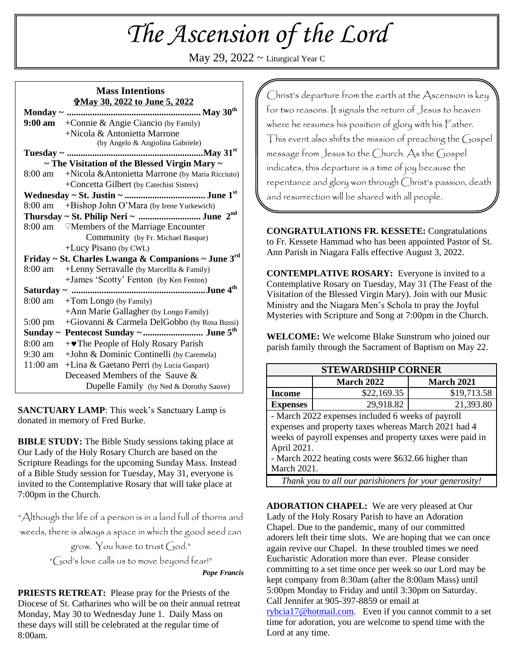# *The Ascension of the Lord*

May 29,  $2022 \sim$  Liturgical Year C

#### **Mass Intentions May 30, 2022 to June 5, 2022**

|                                                         | 9:00 am $+$ Connie & Angie Ciancio (by Family)         |  |
|---------------------------------------------------------|--------------------------------------------------------|--|
|                                                         | $+Nicola & Antonietta Marrone$                         |  |
|                                                         | (by Angelo & Angiolina Gabriele)                       |  |
|                                                         |                                                        |  |
| $\sim$ The Visitation of the Blessed Virgin Mary $\sim$ |                                                        |  |
| 8:00 am                                                 | +Nicola & Antonietta Marrone (by Maria Ricciuto)       |  |
|                                                         | +Concetta Gilbert (by Catechist Sisters)               |  |
|                                                         |                                                        |  |
| 8:00 am                                                 | +Bishop John O'Mara (by Irene Yurkewich)               |  |
| Thursday ~ St. Philip Neri ~ June $2nd$                 |                                                        |  |
|                                                         | 8:00 am <sup>V</sup> Members of the Marriage Encounter |  |
|                                                         | Community (by Fr. Michael Basque)                      |  |
|                                                         | +Lucy Pisano (by CWL)                                  |  |
| Friday ~ St. Charles Lwanga & Companions ~ June 3rd     |                                                        |  |
| 8:00 am                                                 | +Lenny Serravalle (by Marcellla & Family)              |  |
|                                                         | +James 'Scotty' Fenton (by Ken Fenton)                 |  |
|                                                         |                                                        |  |
| 8:00 am                                                 | +Tom Longo (by Family)                                 |  |
|                                                         | +Ann Marie Gallagher (by Longo Family)                 |  |
| $5:00 \text{ pm}$                                       | +Giovanni & Carmela DelGobbo (by Rosa Bussi)           |  |
| Sunday ~ Pentecost Sunday ~  June 5 <sup>th</sup>       |                                                        |  |
|                                                         | 8:00 am   +  The People of Holy Rosary Parish          |  |
|                                                         | 9:30 am + John & Dominic Continelli (by Caremela)      |  |
|                                                         | 11:00 am + Lina & Gaetano Perri (by Lucia Gaspari)     |  |
|                                                         | Deceased Members of the Sauve &                        |  |
|                                                         | Dupelle Family (by Ned & Dorothy Sauve)                |  |

**SANCTUARY LAMP**: This week's Sanctuary Lamp is donated in memory of Fred Burke.

**BIBLE STUDY:** The Bible Study sessions taking place at Our Lady of the Holy Rosary Church are based on the Scripture Readings for the upcoming Sunday Mass. Instead of a Bible Study session for Tuesday, May 31, everyone is invited to the Contemplative Rosary that will take place at 7:00pm in the Church.

"Although the life of a person is in a land full of thorns and weeds, there is always a space in which the good seed can grow. You have to trust God."

"God's love calls us to move beyond fear!"

*Pope Francis*

**PRIESTS RETREAT:** Please pray for the Priests of the Diocese of St. Catharines who will be on their annual retreat Monday, May 30 to Wednesday June 1. Daily Mass on these days will still be celebrated at the regular time of 8:00am.

Christ's departure from the earth at the Ascension is key for two reasons. It signals the return of Jesus to heaven where he resumes his position of glory with his Father. This event also shifts the mission of preaching the  $G$ ospel message from Jesus to the Church. As the Gospel indicates, this departure is a time of joy because the repentance and glory won through Christ's passion, death and resurrection will be shared with all people.

**CONGRATULATIONS FR. KESSETE:** Congratulations to Fr. Kessete Hammad who has been appointed Pastor of St. Ann Parish in Niagara Falls effective August 3, 2022.

**CONTEMPLATIVE ROSARY:** Everyone is invited to a Contemplative Rosary on Tuesday, May 31 (The Feast of the Visitation of the Blessed Virgin Mary). Join with our Music Ministry and the Niagara Men's Schola to pray the Joyful Mysteries with Scripture and Song at 7:00pm in the Church.

**WELCOME:** We welcome Blake Sunstrum who joined our parish family through the Sacrament of Baptism on May 22.

| <b>STEWARDSHIP CORNER</b>                                 |                   |                   |  |
|-----------------------------------------------------------|-------------------|-------------------|--|
|                                                           | <b>March 2022</b> | <b>March 2021</b> |  |
| Income                                                    | \$22,169.35       | \$19,713.58       |  |
| <b>Expenses</b>                                           | 29,918.82         | 21,393.80         |  |
| - March 2022 expenses included 6 weeks of payroll         |                   |                   |  |
| expenses and property taxes whereas March 2021 had 4      |                   |                   |  |
| weeks of payroll expenses and property taxes were paid in |                   |                   |  |
| April 2021.                                               |                   |                   |  |
| - March 2022 heating costs were \$632.66 higher than      |                   |                   |  |
| March 2021.                                               |                   |                   |  |
| Thank you to all our parishioners for your generosity!    |                   |                   |  |

**ADORATION CHAPEL:** We are very pleased at Our Lady of the Holy Rosary Parish to have an Adoration Chapel. Due to the pandemic, many of our committed adorers left their time slots. We are hoping that we can once again revive our Chapel. In these troubled times we need Eucharistic Adoration more than ever. Please consider committing to a set time once per week so our Lord may be kept company from 8:30am (after the 8:00am Mass) until 5:00pm Monday to Friday and until 3:30pm on Saturday. Call Jennifer at 905-397-8859 or email at [rybcia17@hotmail.com.](mailto:rybcia17@hotmail.com) Even if you cannot commit to a set time for adoration, you are welcome to spend time with the Lord at any time.